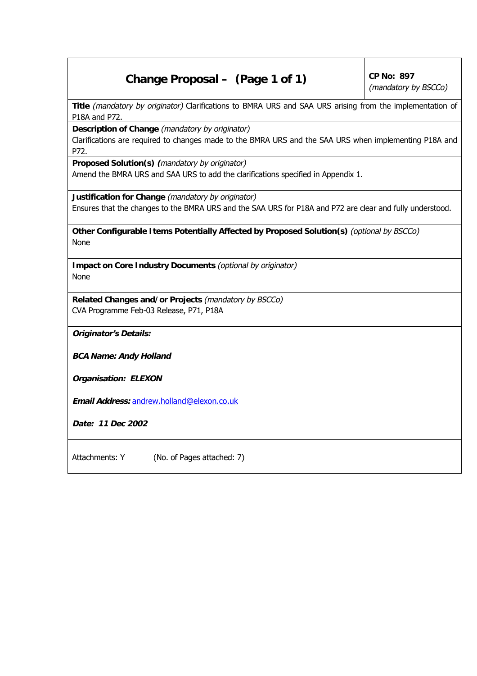# **Change Proposal – (Page 1 of 1)**  $\begin{array}{c} \n\text{CP No: } 897\n\end{array}$

(mandatory by BSCCo)

**Title** (mandatory by originator) Clarifications to BMRA URS and SAA URS arising from the implementation of P18A and P72.

**Description of Change** (mandatory by originator)

Clarifications are required to changes made to the BMRA URS and the SAA URS when implementing P18A and P72.

**Proposed Solution(s) (**mandatory by originator) Amend the BMRA URS and SAA URS to add the clarifications specified in Appendix 1.

**Justification for Change** (mandatory by originator) Ensures that the changes to the BMRA URS and the SAA URS for P18A and P72 are clear and fully understood.

**Other Configurable Items Potentially Affected by Proposed Solution(s)** (optional by BSCCo) None

**Impact on Core Industry Documents** (optional by originator) None

**Related Changes and/or Projects** (mandatory by BSCCo) CVA Programme Feb-03 Release, P71, P18A

**Originator's Details:**

**BCA Name: Andy Holland**

**Organisation: ELEXON**

**Email Address:** andrew.holland@elexon.co.uk

**Date: 11 Dec 2002**

Attachments: Y (No. of Pages attached: 7)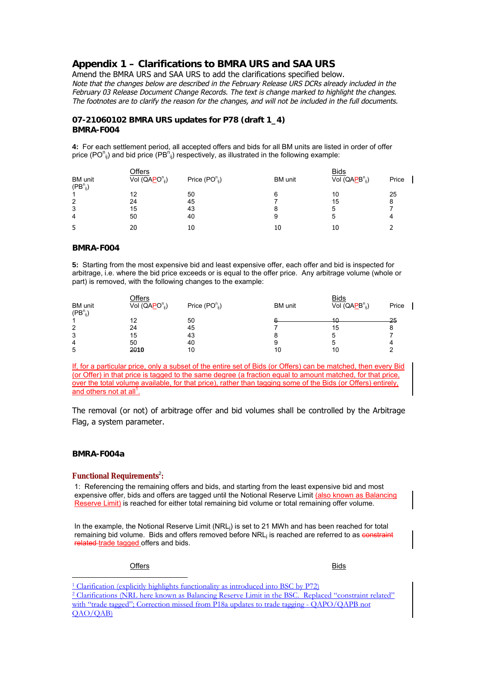## **Appendix 1 – Clarifications to BMRA URS and SAA URS**

Amend the BMRA URS and SAA URS to add the clarifications specified below.

Note that the changes below are described in the February Release URS DCRs already included in the February 03 Release Document Change Records. The text is change marked to highlight the changes. The footnotes are to clarify the reason for the changes, and will not be included in the full documents.

#### **07-21060102 BMRA URS updates for P78 (draft 1\_4) BMRA-F004**

**4:** For each settlement period, all accepted offers and bids for all BM units are listed in order of offer price (PO<sup>n</sup><sub>ii</sub>) and bid price (PB<sup>n</sup><sub>ii</sub>) respectively, as illustrated in the following example:

|                          | Offers                                      |                     |                | <b>Bids</b>                                                                             |       |  |
|--------------------------|---------------------------------------------|---------------------|----------------|-----------------------------------------------------------------------------------------|-------|--|
| <b>BM</b> unit           | $\overline{\text{Vol}(\text{QAPO}^n_{ij})}$ | Price $(PO_{ii}^n)$ | <b>BM</b> unit | $\overline{\mathsf{Vol}\;(\mathsf{QA}\mathsf{PB}^{\mathsf{n}}_{\mathsf{i}\mathsf{j}})}$ | Price |  |
| $(PB^n_{ij})$            |                                             |                     |                |                                                                                         |       |  |
| $\overline{\phantom{a}}$ | 12                                          | 50                  | 6              | 10                                                                                      | 25    |  |
| 2                        | 24                                          | 45                  |                | 15                                                                                      | 8     |  |
| 3                        | 15                                          | 43                  | 8              | 5                                                                                       |       |  |
| 4                        | 50                                          | 40                  | 9              | 5                                                                                       | 4     |  |
| 5                        | 20                                          | 10                  | 10             | 10                                                                                      |       |  |

#### **BMRA-F004**

**5:** Starting from the most expensive bid and least expensive offer, each offer and bid is inspected for arbitrage, i.e. where the bid price exceeds or is equal to the offer price. Any arbitrage volume (whole or part) is removed, with the following changes to the example:

|                | Offers                  |                 |                | <u>Bids</u>     |       |
|----------------|-------------------------|-----------------|----------------|-----------------|-------|
| <b>BM</b> unit | Vol $(QAPO^{n}{}_{ij})$ | Price $(POnii)$ | <b>BM</b> unit | Vol $(QAPBnij)$ | Price |
| $(PB^n_{ij})$  |                         |                 |                |                 |       |
|                | 12                      | 50              |                | 40              | 25    |
| 2              | 24                      | 45              |                | 15              | 8     |
| 3              | 15                      | 43              |                |                 |       |
| 4              | 50                      | 40              | 9              |                 |       |
| 5              | 2010                    | 10              | 10             | 10              |       |
|                |                         |                 |                |                 |       |

If, for a particular price, only a subset of the entire set of Bids (or Offers) can be matched, then every Bid (or Offer) in that price is tagged to the same degree (a fraction equal to amount matched, for that price, over the total volume available, for that price), rather than tagging some of the Bids (or Offers) entirely, and others not at all<sup>1</sup>.

The removal (or not) of arbitrage offer and bid volumes shall be controlled by the Arbitrage Flag, a system parameter.

#### **BMRA-F004a**

## **Functional Requirements**<sup>2</sup> **:**

1: Referencing the remaining offers and bids, and starting from the least expensive bid and most expensive offer, bids and offers are tagged until the Notional Reserve Limit (also known as Balancing Reserve Limit) is reached for either total remaining bid volume or total remaining offer volume.

In the example, the Notional Reserve Limit  $(NRL<sub>i</sub>)$  is set to 21 MWh and has been reached for total remaining bid volume. Bids and offers removed before NRL<sub>i</sub> is reached are referred to as constraint related trade tagged offers and bids.

#### <u>Offers Bids</u>

<sup>1</sup> Clarification (explicitly highlights functionality as introduced into BSC by P72)

<sup>2</sup> Clarifications (NRL here known as Balancing Reserve Limit in the BSC. Replaced "constraint related" with "trade tagged"; Correction missed from P18a updates to trade tagging - OAPO/OAPB not QAO/QAB)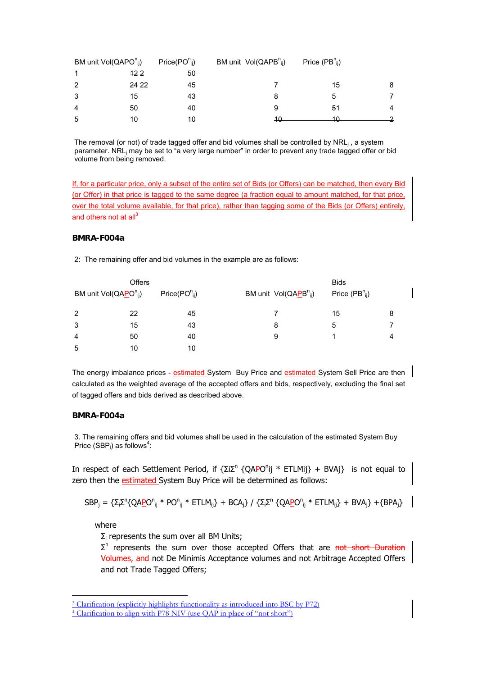| BM unit $Vol(QAPO_{ij}^n)$ |                 | Price(PO <sup>n</sup> <sub>ii</sub> ) | BM unit Vol(QAPB <sup>n</sup> <sub>ii</sub> ) | Price $(PB^n_{ij})$ |  |
|----------------------------|-----------------|---------------------------------------|-----------------------------------------------|---------------------|--|
| 1                          | 12 <sub>2</sub> | 50                                    |                                               |                     |  |
| $\overline{2}$             | 24 22           | 45                                    |                                               | 15                  |  |
| 3                          | 15              | 43                                    |                                               | 5                   |  |
| 4                          | 50              | 40                                    | 9                                             | 51                  |  |
| 5                          | 10              | 10                                    |                                               | 10<br>τU            |  |

The removal (or not) of trade tagged offer and bid volumes shall be controlled by  $NRL<sub>i</sub>$ , a system parameter. NRL<sub>i</sub> may be set to "a very large number" in order to prevent any trade tagged offer or bid volume from being removed.

If, for a particular price, only a subset of the entire set of Bids (or Offers) can be matched, then every Bid (or Offer) in that price is tagged to the same degree (a fraction equal to amount matched, for that price, over the total volume available, for that price), rather than tagging some of the Bids (or Offers) entirely, and others not at  $all<sup>3</sup>$ 

## **BMRA-F004a**

2: The remaining offer and bid volumes in the example are as follows:

| <b>Offers</b>                          |    |                                       |                                  | <b>Bids</b>         |   |
|----------------------------------------|----|---------------------------------------|----------------------------------|---------------------|---|
| BM unit $Vol(QA\underline{PO}^n_{ij})$ |    | Price(PO <sup>n</sup> <sub>ii</sub> ) | BM unit $Vol(QA\angle B^n_{ij})$ | Price $(PB^n_{ii})$ |   |
| $\overline{2}$                         | 22 | 45                                    |                                  | 15                  | 8 |
| -3                                     | 15 | 43                                    | 8                                | 5                   |   |
| $\overline{4}$                         | 50 | 40                                    | 9                                |                     | 4 |
| 5                                      | 10 | 10                                    |                                  |                     |   |

The energy imbalance prices - estimated System Buy Price and estimated System Sell Price are then calculated as the weighted average of the accepted offers and bids, respectively, excluding the final set of tagged offers and bids derived as described above.

#### **BMRA-F004a**

3. The remaining offers and bid volumes shall be used in the calculation of the estimated System Buy Price (SBP<sub>i</sub>) as follows<sup>4</sup>:

In respect of each Settlement Period, if {ΣiΣ<sup>n</sup> {QA<mark>P</mark>O<sup>n</sup>ij \* ETLMij} + BVAj} is not equal to zero then the estimated System Buy Price will be determined as follows:

$$
SBP_j = \{\Sigma_i \Sigma^n \{QA\underline{PO}^n_{ij} * PO^n_{ij} * ETLM_{ij}\} + BCA_j\} / \{\Sigma_i \Sigma^n \{QA\underline{PO}^n_{ij} * ETLM_{ij}\} + BVA_j\} + \{BPA_j\}
$$

where

-

 $\Sigma_i$  represents the sum over all BM Units;

Σ<sup>n</sup> represents the sum over those accepted Offers that are <del>not short Duration</del> Volumes, and not De Minimis Acceptance volumes and not Arbitrage Accepted Offers and not Trade Tagged Offers;

<sup>&</sup>lt;sup>3</sup> Clarification (explicitly highlights functionality as introduced into BSC by P72)  $4$  Clarification to align with P78 NIV (use OAP in place of "not short")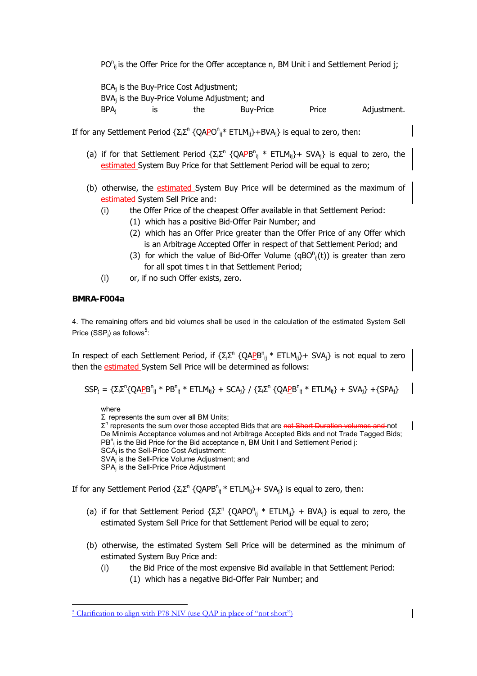PO<sup>n</sup><sub>ij</sub> is the Offer Price for the Offer acceptance n, BM Unit i and Settlement Period j;

BCA<sub>i</sub> is the Buy-Price Cost Adjustment; BVA<sub>i</sub> is the Buy-Price Volume Adjustment; and BPA<sub>i</sub> is the Buy-Price Price Adjustment.

If for any Settlement Period {Σ<sub>i</sub>Σ<sup>n</sup> {QA<u>P</u>O<sup>n</sup><sub>ij</sub>\* ETLM<sub>ij</sub>}+BVA<sub>j</sub>} is equal to zero, then:

- (a) if for that Settlement Period  $\{\Sigma_i \Sigma^n \{QA\underline{P}B^n_{ij} * ETLM_{ij}\} + SVA_j\}$  is equal to zero, the estimated System Buy Price for that Settlement Period will be equal to zero;
- (b) otherwise, the estimated System Buy Price will be determined as the maximum of estimated System Sell Price and:
	- (i) the Offer Price of the cheapest Offer available in that Settlement Period:
		- (1) which has a positive Bid-Offer Pair Number; and
		- (2) which has an Offer Price greater than the Offer Price of any Offer which is an Arbitrage Accepted Offer in respect of that Settlement Period; and
		- (3) for which the value of Bid-Offer Volume ( $qBO<sup>n</sup><sub>ij</sub>(t)$ ) is greater than zero for all spot times t in that Settlement Period;
	- (i) or, if no such Offer exists, zero.

## **BMRA-F004a**

4. The remaining offers and bid volumes shall be used in the calculation of the estimated System Sell Price (SSP<sub>i</sub>) as follows<sup>5</sup>:

In respect of each Settlement Period, if {Σ<sub>i</sub>Σ<sup>n</sup> {QA<mark>P</u>B<sup>n</sup><sub>ij</sub> \* ETLM<sub>ij</sub>}+ SVA<sub>i</sub>} is not equal to zero</mark> then the estimated System Sell Price will be determined as follows:

 $SSP_j = \{\Sigma_i \Sigma^n \{QA\underline{P}B^n_{ij} * PB^n_{ij} * ETLM_{ij}\} + SCA_i\} / \{\Sigma_i \Sigma^n \{QA\underline{P}B^n_{ij} * ETLM_{ij}\} + SVA_i\} + \{SPA_i\}$ 

where

-

Σi represents the sum over all BM Units;

Σ<sup>n</sup> represents the sum over those accepted Bids that are <del>not Short Duration volumes and </del>not De Minimis Acceptance volumes and not Arbitrage Accepted Bids and not Trade Tagged Bids; PB<sup>n</sup><sub>ii</sub> is the Bid Price for the Bid acceptance n, BM Unit I and Settlement Period j: SCAj is the Sell-Price Cost Adjustment: SVAj is the Sell-Price Volume Adjustment; and SPAj is the Sell-Price Price Adjustment

If for any Settlement Period  $\{\Sigma_i \Sigma^n \{QAPB^n_{ij} * ETLM_{ij}\} + SVA_j\}$  is equal to zero, then:

- (a) if for that Settlement Period  $\{\Sigma_i \Sigma^{n} \{QAPO^{n}_{ij} * ETLM_{ij}\} + BVA_j\}$  is equal to zero, the estimated System Sell Price for that Settlement Period will be equal to zero;
- (b) otherwise, the estimated System Sell Price will be determined as the minimum of estimated System Buy Price and:
	- (i) the Bid Price of the most expensive Bid available in that Settlement Period: (1) which has a negative Bid-Offer Pair Number; and

<sup>&</sup>lt;sup>5</sup> Clarification to align with P78 NIV (use OAP in place of "not short")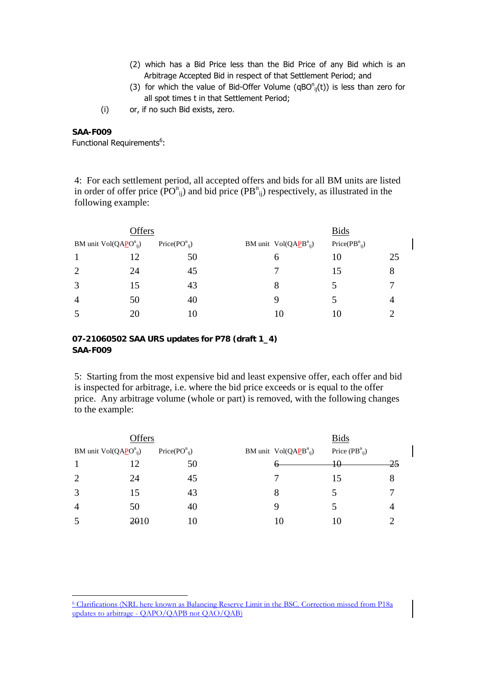- (2) which has a Bid Price less than the Bid Price of any Bid which is an Arbitrage Accepted Bid in respect of that Settlement Period; and
- (3) for which the value of Bid-Offer Volume ( $qBO<sup>n</sup>_{ij}(t)$ ) is less than zero for all spot times t in that Settlement Period;
- (i) or, if no such Bid exists, zero.

## **SAA-F009**

-

Functional Requirements<sup>6</sup>:

4: For each settlement period, all accepted offers and bids for all BM units are listed in order of offer price  $(PO_{ij}^n)$  and bid price  $(PB_{ij}^n)$  respectively, as illustrated in the following example:

|                                                                                 | Offers |    |                                        | <b>Bids</b>                           |    |
|---------------------------------------------------------------------------------|--------|----|----------------------------------------|---------------------------------------|----|
| BM unit $Vol(QA\underline{PO}_{ij}^n)$<br>Price(PO <sup>n</sup> <sub>ii</sub> ) |        |    | BM unit $Vol(QA\underline{PB}^n_{ij})$ | Price(PB <sup>n</sup> <sub>ij</sub> ) |    |
| 1                                                                               | 12     | 50 | 6                                      | 10                                    | 25 |
| 2                                                                               | 24     | 45 |                                        | 15                                    | 8  |
| 3                                                                               | 15     | 43 | 8                                      |                                       |    |
| $\overline{4}$                                                                  | 50     | 40 | 9                                      |                                       |    |
| 5                                                                               | 20     | 10 | 10                                     | 10                                    |    |

## **07-21060502 SAA URS updates for P78 (draft 1\_4) SAA-F009**

5: Starting from the most expensive bid and least expensive offer, each offer and bid is inspected for arbitrage, i.e. where the bid price exceeds or is equal to the offer price. Any arbitrage volume (whole or part) is removed, with the following changes to the example:

| Offers                                 |      |                                       |  |                                        | <b>Bids</b>         |   |
|----------------------------------------|------|---------------------------------------|--|----------------------------------------|---------------------|---|
| BM unit $Vol(QA\underline{PO}_{ij}^n)$ |      | Price(PO <sup>n</sup> <sub>ii</sub> ) |  | BM unit $Vol(QA\underline{PB}^n_{ij})$ | Price $(PB_{ii}^n)$ |   |
| 1                                      | 12   | 50                                    |  | u                                      | 10                  |   |
| $\overline{2}$                         | 24   | 45                                    |  |                                        |                     | 8 |
| 3                                      | 15   | 43                                    |  | 8                                      |                     |   |
| $\overline{4}$                         | 50   | 40                                    |  | g                                      |                     |   |
| 5                                      | 2010 | 10                                    |  |                                        | 10                  |   |

<sup>6</sup> Clarifications (NRL here known as Balancing Reserve Limit in the BSC. Correction missed from P18a updates to arbitrage - QAPO/QAPB not QAO/QAB)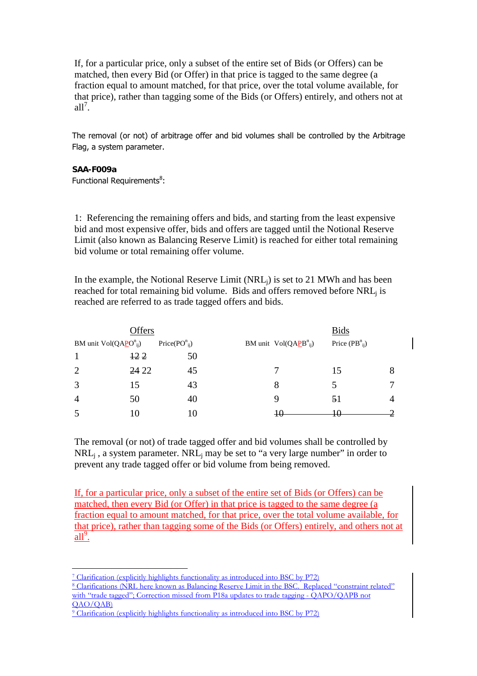If, for a particular price, only a subset of the entire set of Bids (or Offers) can be matched, then every Bid (or Offer) in that price is tagged to the same degree (a fraction equal to amount matched, for that price, over the total volume available, for that price), rather than tagging some of the Bids (or Offers) entirely, and others not at  $all^7$ .

The removal (or not) of arbitrage offer and bid volumes shall be controlled by the Arbitrage Flag, a system parameter.

## **SAA-F009a**

Functional Requirements<sup>8</sup>:

1: Referencing the remaining offers and bids, and starting from the least expensive bid and most expensive offer, bids and offers are tagged until the Notional Reserve Limit (also known as Balancing Reserve Limit) is reached for either total remaining bid volume or total remaining offer volume.

In the example, the Notional Reserve Limit (NRLj) is set to 21 MWh and has been reached for total remaining bid volume. Bids and offers removed before NRL<sub>i</sub> is reached are referred to as trade tagged offers and bids.

| Offers                                                                          |       |    |                                        | <b>Bids</b>         |   |
|---------------------------------------------------------------------------------|-------|----|----------------------------------------|---------------------|---|
| BM unit $Vol(QA\underline{PO}^n_{ij})$<br>Price(PO <sup>n</sup> <sub>ij</sub> ) |       |    | BM unit $Vol(QA\underline{PB}^n_{ij})$ | Price $(PB^n_{ii})$ |   |
| $\mathbf{1}$                                                                    | 122   | 50 |                                        |                     |   |
| $\overline{2}$                                                                  | 24 22 | 45 |                                        | 15                  | 8 |
| 3                                                                               | 15    | 43 |                                        |                     |   |
| $\overline{4}$                                                                  | 50    | 40 | 9                                      | 51                  | 4 |
| 5                                                                               |       | 10 | ŦΩ                                     | 10                  |   |

The removal (or not) of trade tagged offer and bid volumes shall be controlled by  $NRL_i$ , a system parameter.  $NRL_i$  may be set to "a very large number" in order to prevent any trade tagged offer or bid volume from being removed.

If, for a particular price, only a subset of the entire set of Bids (or Offers) can be matched, then every Bid (or Offer) in that price is tagged to the same degree (a fraction equal to amount matched, for that price, over the total volume available, for that price), rather than tagging some of the Bids (or Offers) entirely, and others not at  $\overline{\text{all}^9}$ .

<sup>-</sup>7 Clarification (explicitly highlights functionality as introduced into BSC by P72)

<sup>&</sup>lt;sup>8</sup> Clarifications (NRL here known as Balancing Reserve Limit in the BSC. Replaced "constraint related" with "trade tagged"; Correction missed from P18a updates to trade tagging - OAPO/OAPB not QAO/QAB)

<sup>9</sup> Clarification (explicitly highlights functionality as introduced into BSC by P72)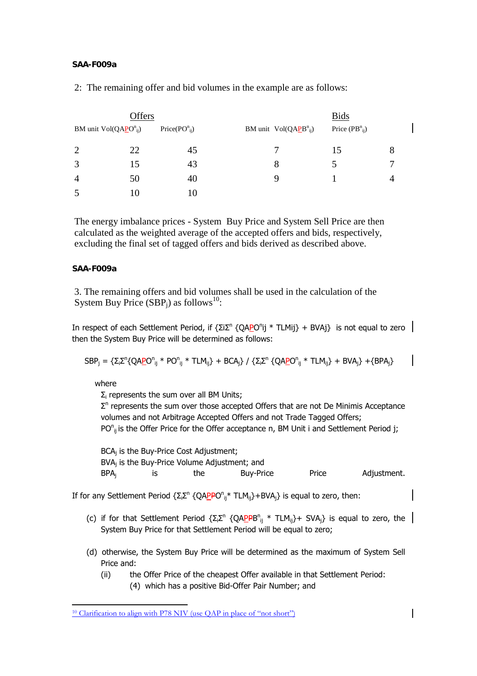## **SAA-F009a**

2: The remaining offer and bid volumes in the example are as follows:

| Offers                                 |    |                                       |                                        | <b>Bids</b>         |   |
|----------------------------------------|----|---------------------------------------|----------------------------------------|---------------------|---|
| BM unit $Vol(QA\underline{PO}_{ij}^n)$ |    | Price(PO <sup>n</sup> <sub>ii</sub> ) | BM unit $Vol(QA\underline{PB}^n_{ij})$ | Price $(PB^n_{ij})$ |   |
| $\overline{2}$                         | 22 | 45                                    |                                        | 15                  | 8 |
| 3                                      |    | 43                                    | 8                                      |                     |   |
| $\overline{4}$                         | 50 | 40                                    | 9                                      |                     |   |
| 5                                      |    | 10                                    |                                        |                     |   |

The energy imbalance prices - System Buy Price and System Sell Price are then calculated as the weighted average of the accepted offers and bids, respectively, excluding the final set of tagged offers and bids derived as described above.

## **SAA-F009a**

3. The remaining offers and bid volumes shall be used in the calculation of the System Buy Price  $(SBP_i)$  as follows<sup>10</sup>:

In respect of each Settlement Period, if {ΣiΣ<sup>n</sup> {QA<u>P</u>O<sup>n</sup>ij \* TLMij} + BVAj} is not equal to zero then the System Buy Price will be determined as follows:

 $SBP_j = \{\Sigma_i \Sigma^n \{QA\underline{PO}^n_{ij} * PO^n_{ij} * TLM_{ij}\} + BCA_j\} / \{\Sigma_i \Sigma^n \{QA\underline{PO}^n_{ij} * TLM_{ij}\} + BVA_j\} + \{BPA_j\}$ 

where

-

 $\Sigma_i$  represents the sum over all BM Units;

 $\Sigma$ <sup>n</sup> represents the sum over those accepted Offers that are not De Minimis Acceptance volumes and not Arbitrage Accepted Offers and not Trade Tagged Offers; PO<sup>n</sup><sub>ij</sub> is the Offer Price for the Offer acceptance n, BM Unit i and Settlement Period j;

BCA<sub>i</sub> is the Buy-Price Cost Adjustment; BVAj is the Buy-Price Volume Adjustment; and BPA<sub>i</sub> is the Buy-Price Price Adjustment.

If for any Settlement Period {Σ<sub>i</sub>Σ<sup>n</sup> {QA<u>P</u>PO<sup>n</sup><sub>ij</sub>\* TLM<sub>ij</sub>}+BVA<sub>j</sub>} is equal to zero, then:

- (c) if for that Settlement Period  $\{\Sigma_i \Sigma^n \{QA^P P B^n_{ij} * TLM_{ij}\} + SVA_j\}$  is equal to zero, the System Buy Price for that Settlement Period will be equal to zero;
- (d) otherwise, the System Buy Price will be determined as the maximum of System Sell Price and:

(ii) the Offer Price of the cheapest Offer available in that Settlement Period:

(4) which has a positive Bid-Offer Pair Number; and

 $10$  Clarification to align with P78 NIV (use OAP in place of "not short")